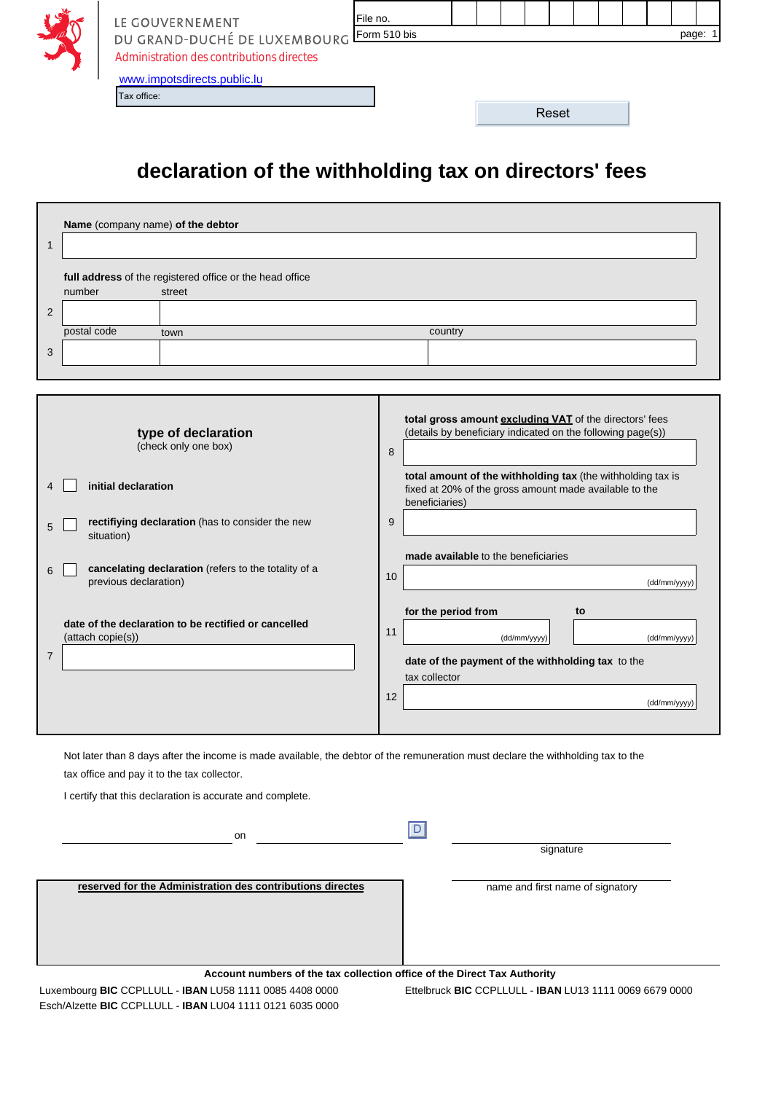| y Š      | LE GOUVERNEMENT                           | File no. |  |  |       |  |  |       |  |
|----------|-------------------------------------------|----------|--|--|-------|--|--|-------|--|
| <b>A</b> | DU GRAND-DUCHÉ DE LUXEMBOURG Form 510 bis |          |  |  |       |  |  | page: |  |
|          | Administration des contributions directes |          |  |  |       |  |  |       |  |
|          | www.impotsdirects.public.lu               |          |  |  |       |  |  |       |  |
|          | Tax office:                               |          |  |  |       |  |  |       |  |
|          |                                           |          |  |  | Reset |  |  |       |  |

## **declaration of the withholding tax on directors' fees**

| Name (company name) of the debtor                                                                                                                                                                                                            |                                                                                                                                                                                            |
|----------------------------------------------------------------------------------------------------------------------------------------------------------------------------------------------------------------------------------------------|--------------------------------------------------------------------------------------------------------------------------------------------------------------------------------------------|
| 1                                                                                                                                                                                                                                            |                                                                                                                                                                                            |
| full address of the registered office or the head office<br>number<br>street                                                                                                                                                                 |                                                                                                                                                                                            |
| 2                                                                                                                                                                                                                                            |                                                                                                                                                                                            |
| postal code<br>town                                                                                                                                                                                                                          | country                                                                                                                                                                                    |
| 3                                                                                                                                                                                                                                            |                                                                                                                                                                                            |
|                                                                                                                                                                                                                                              |                                                                                                                                                                                            |
| type of declaration<br>(check only one box)                                                                                                                                                                                                  | total gross amount excluding VAT of the directors' fees<br>(details by beneficiary indicated on the following page(s))<br>8<br>total amount of the withholding tax (the withholding tax is |
| initial declaration<br>4                                                                                                                                                                                                                     | fixed at 20% of the gross amount made available to the<br>beneficiaries)                                                                                                                   |
| rectifiying declaration (has to consider the new<br>5<br>situation)                                                                                                                                                                          | 9                                                                                                                                                                                          |
|                                                                                                                                                                                                                                              | made available to the beneficiaries                                                                                                                                                        |
| cancelating declaration (refers to the totality of a<br>6<br>previous declaration)                                                                                                                                                           | 10<br>(dd/mm/yyyy)                                                                                                                                                                         |
| date of the declaration to be rectified or cancelled                                                                                                                                                                                         | for the period from<br>to                                                                                                                                                                  |
| (attach copie(s))                                                                                                                                                                                                                            | 11<br>(dd/mm/yyyy)<br>(dd/mm/yyyy)                                                                                                                                                         |
| $\overline{7}$                                                                                                                                                                                                                               | date of the payment of the withholding tax to the<br>tax collector                                                                                                                         |
|                                                                                                                                                                                                                                              | 12                                                                                                                                                                                         |
|                                                                                                                                                                                                                                              | (dd/mm/yyyy)                                                                                                                                                                               |
| Not later than 8 days after the income is made available, the debtor of the remuneration must declare the withholding tax to the<br>tax office and pay it to the tax collector.<br>I certify that this declaration is accurate and complete. |                                                                                                                                                                                            |
| on                                                                                                                                                                                                                                           | D                                                                                                                                                                                          |
|                                                                                                                                                                                                                                              | signature                                                                                                                                                                                  |
| reserved for the Administration des contributions directes                                                                                                                                                                                   | name and first name of signatory                                                                                                                                                           |
|                                                                                                                                                                                                                                              | Account numbers of the tax collection office of the Direct Tax Authority                                                                                                                   |
| Luxembourg BIC CCPLLULL - IBAN LU58 1111 0085 4408 0000<br>Esch/Alzette BIC CCPLLULL - IBAN LU04 1111 0121 6035 0000                                                                                                                         | Ettelbruck BIC CCPLLULL - IBAN LU13 1111 0069 6679 0000                                                                                                                                    |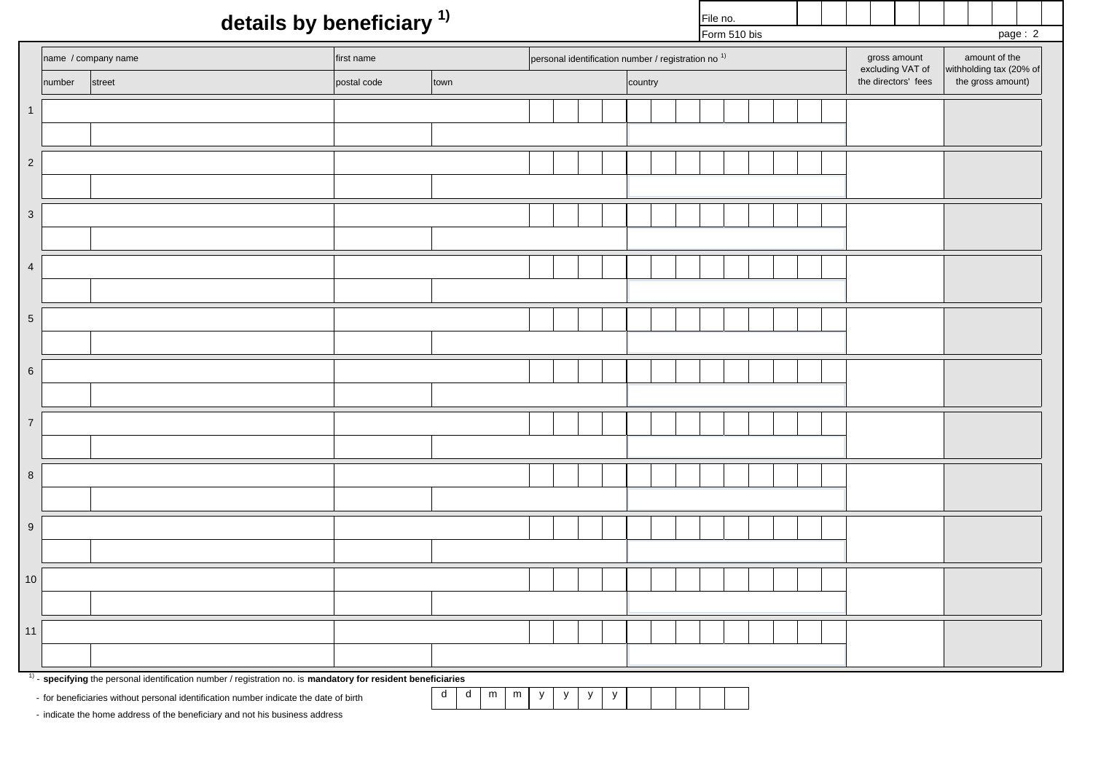## **details by beneficiary 1)**

 $F_{\text{Orm}}$  510 bis

File no.

|                           |        | $\overline{\phantom{a}}$                                                                                                                                                                                 | ◢           |                   |   |              |                              |         |                                  | Form 510 bis  |  |                     | page: 2                                      |
|---------------------------|--------|----------------------------------------------------------------------------------------------------------------------------------------------------------------------------------------------------------|-------------|-------------------|---|--------------|------------------------------|---------|----------------------------------|---------------|--|---------------------|----------------------------------------------|
|                           |        | personal identification number / registration no <sup>1)</sup><br>name / company name<br>first name                                                                                                      |             |                   |   |              |                              |         | gross amount<br>excluding VAT of | amount of the |  |                     |                                              |
|                           | number | street                                                                                                                                                                                                   | postal code | town              |   |              |                              | country |                                  |               |  | the directors' fees | withholding tax (20% of<br>the gross amount) |
| $\mathbf{1}$              |        |                                                                                                                                                                                                          |             |                   |   |              |                              |         |                                  |               |  |                     |                                              |
|                           |        |                                                                                                                                                                                                          |             |                   |   |              |                              |         |                                  |               |  |                     |                                              |
| $\overline{2}$            |        |                                                                                                                                                                                                          |             |                   |   |              |                              |         |                                  |               |  |                     |                                              |
|                           |        |                                                                                                                                                                                                          |             |                   |   |              |                              |         |                                  |               |  |                     |                                              |
| $\ensuremath{\mathsf{3}}$ |        |                                                                                                                                                                                                          |             |                   |   |              |                              |         |                                  |               |  |                     |                                              |
|                           |        |                                                                                                                                                                                                          |             |                   |   |              |                              |         |                                  |               |  |                     |                                              |
| $\overline{4}$            |        |                                                                                                                                                                                                          |             |                   |   |              |                              |         |                                  |               |  |                     |                                              |
|                           |        |                                                                                                                                                                                                          |             |                   |   |              |                              |         |                                  |               |  |                     |                                              |
| $5\phantom{.0}$           |        |                                                                                                                                                                                                          |             |                   |   |              |                              |         |                                  |               |  |                     |                                              |
|                           |        |                                                                                                                                                                                                          |             |                   |   |              |                              |         |                                  |               |  |                     |                                              |
| $\,6\,$                   |        |                                                                                                                                                                                                          |             |                   |   |              |                              |         |                                  |               |  |                     |                                              |
|                           |        |                                                                                                                                                                                                          |             |                   |   |              |                              |         |                                  |               |  |                     |                                              |
| $\sqrt{7}$                |        |                                                                                                                                                                                                          |             |                   |   |              |                              |         |                                  |               |  |                     |                                              |
|                           |        |                                                                                                                                                                                                          |             |                   |   |              |                              |         |                                  |               |  |                     |                                              |
| $\bf 8$                   |        |                                                                                                                                                                                                          |             |                   |   |              |                              |         |                                  |               |  |                     |                                              |
|                           |        |                                                                                                                                                                                                          |             |                   |   |              |                              |         |                                  |               |  |                     |                                              |
| $\boldsymbol{9}$          |        |                                                                                                                                                                                                          |             |                   |   |              |                              |         |                                  |               |  |                     |                                              |
|                           |        |                                                                                                                                                                                                          |             |                   |   |              |                              |         |                                  |               |  |                     |                                              |
| $10\,$                    |        |                                                                                                                                                                                                          |             |                   |   |              |                              |         |                                  |               |  |                     |                                              |
|                           |        |                                                                                                                                                                                                          |             |                   |   |              |                              |         |                                  |               |  |                     |                                              |
| $11$                      |        |                                                                                                                                                                                                          |             |                   |   |              |                              |         |                                  |               |  |                     |                                              |
|                           |        |                                                                                                                                                                                                          |             |                   |   |              |                              |         |                                  |               |  |                     |                                              |
|                           |        | $1)$ - specifying the personal identification number / registration no. is mandatory for resident beneficiaries<br>- for beneficiaries without personal identification number indicate the date of birth |             | $d$ $d$<br>m<br>m | y | $\mathsf{y}$ | $\mathsf{y}$<br>$\mathsf{y}$ |         |                                  |               |  |                     |                                              |

- indicate the home address of the beneficiary and not his business address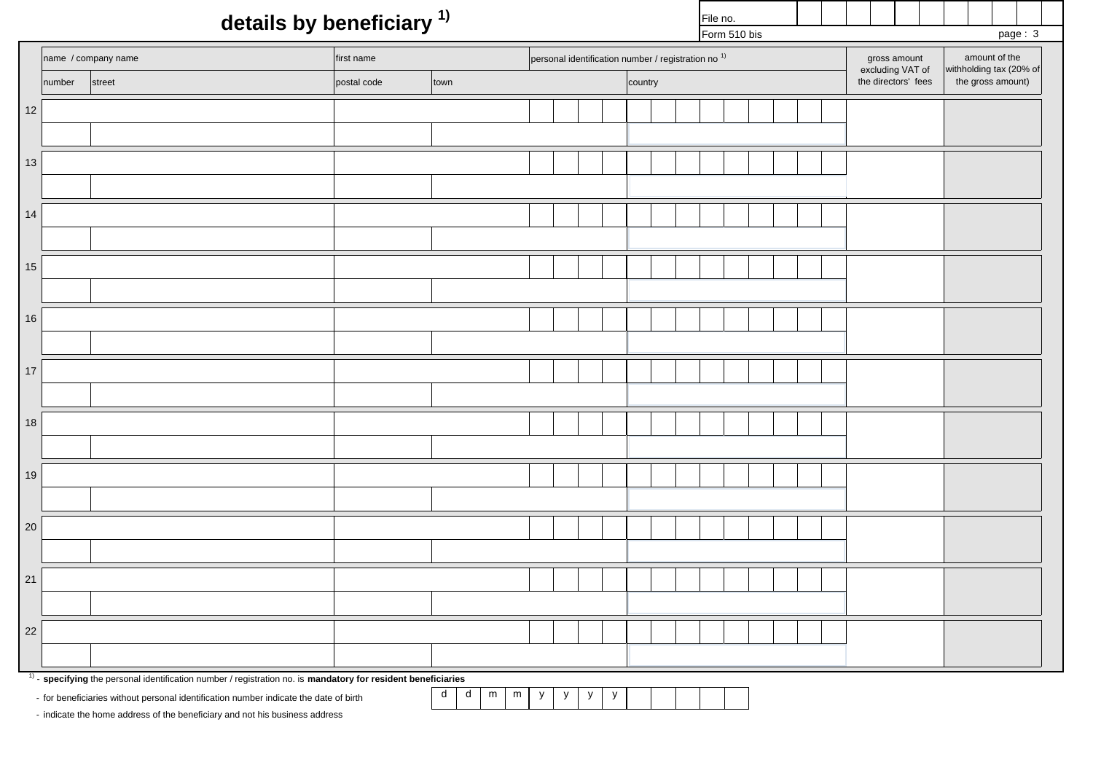## **details by beneficiary 1)**

 $F_{\text{Orm}}$  510 bis

File no.

 $p$ age  $\cdot$  3

|        |                                                                                                                 |                                                                              |                                                                         |                                               |  | $From 510$ DIS |  | page: 3 |  |                                  |                                          |
|--------|-----------------------------------------------------------------------------------------------------------------|------------------------------------------------------------------------------|-------------------------------------------------------------------------|-----------------------------------------------|--|----------------|--|---------|--|----------------------------------|------------------------------------------|
|        | name / company name                                                                                             | personal identification number / registration no <sup>1)</sup><br>first name |                                                                         |                                               |  |                |  |         |  | gross amount<br>excluding VAT of | amount of the<br>withholding tax (20% of |
|        | number<br>street                                                                                                | postal code                                                                  | town                                                                    |                                               |  | country        |  |         |  | the directors' fees              | the gross amount)                        |
| $12\,$ |                                                                                                                 |                                                                              |                                                                         |                                               |  |                |  |         |  |                                  |                                          |
|        |                                                                                                                 |                                                                              |                                                                         |                                               |  |                |  |         |  |                                  |                                          |
| $13\,$ |                                                                                                                 |                                                                              |                                                                         |                                               |  |                |  |         |  |                                  |                                          |
|        |                                                                                                                 |                                                                              |                                                                         |                                               |  |                |  |         |  |                                  |                                          |
| $14$   |                                                                                                                 |                                                                              |                                                                         |                                               |  |                |  |         |  |                                  |                                          |
|        |                                                                                                                 |                                                                              |                                                                         |                                               |  |                |  |         |  |                                  |                                          |
| $15\,$ |                                                                                                                 |                                                                              |                                                                         |                                               |  |                |  |         |  |                                  |                                          |
|        |                                                                                                                 |                                                                              |                                                                         |                                               |  |                |  |         |  |                                  |                                          |
| $16\,$ |                                                                                                                 |                                                                              |                                                                         |                                               |  |                |  |         |  |                                  |                                          |
|        |                                                                                                                 |                                                                              |                                                                         |                                               |  |                |  |         |  |                                  |                                          |
| $17$   |                                                                                                                 |                                                                              |                                                                         |                                               |  |                |  |         |  |                                  |                                          |
|        |                                                                                                                 |                                                                              |                                                                         |                                               |  |                |  |         |  |                                  |                                          |
| $18\,$ |                                                                                                                 |                                                                              |                                                                         |                                               |  |                |  |         |  |                                  |                                          |
|        |                                                                                                                 |                                                                              |                                                                         |                                               |  |                |  |         |  |                                  |                                          |
| $19$   |                                                                                                                 |                                                                              |                                                                         |                                               |  |                |  |         |  |                                  |                                          |
| $20\,$ |                                                                                                                 |                                                                              |                                                                         |                                               |  |                |  |         |  |                                  |                                          |
|        |                                                                                                                 |                                                                              |                                                                         |                                               |  |                |  |         |  |                                  |                                          |
| $21$   |                                                                                                                 |                                                                              |                                                                         |                                               |  |                |  |         |  |                                  |                                          |
|        |                                                                                                                 |                                                                              |                                                                         |                                               |  |                |  |         |  |                                  |                                          |
| 22     |                                                                                                                 |                                                                              |                                                                         |                                               |  |                |  |         |  |                                  |                                          |
|        |                                                                                                                 |                                                                              |                                                                         |                                               |  |                |  |         |  |                                  |                                          |
|        | $1)$ - specifying the personal identification number / registration no. is mandatory for resident beneficiaries |                                                                              |                                                                         |                                               |  |                |  |         |  |                                  |                                          |
|        | - for beneficiaries without personal identification number indicate the date of birth                           |                                                                              | $\operatorname{\mathsf{d}}$<br>${\sf d}$<br>${\sf m}$<br>${\sf m}$<br>y | ${\mathsf y}$<br>$\mathsf{y}$<br>$\mathsf{y}$ |  |                |  |         |  |                                  |                                          |

- indicate the home address of the beneficiary and not his business address